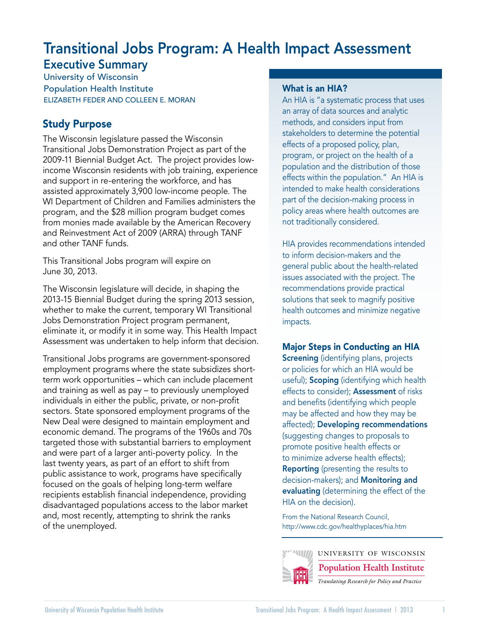# Transitional Jobs Program: A Health Impact Assessment

# Executive Summary

University of Wisconsin Population Health Institute ELIZABETH FEDER AND COLLEEN E. MORAN

# Study Purpose

The Wisconsin legislature passed the Wisconsin Transitional Jobs Demonstration Project as part of the 2009-11 Biennial Budget Act. The project provides lowincome Wisconsin residents with job training, experience and support in re-entering the workforce, and has assisted approximately 3,900 low-income people. The WI Department of Children and Families administers the program, and the \$28 million program budget comes from monies made available by the American Recovery and Reinvestment Act of 2009 (ARRA) through TANF and other TANF funds.

This Transitional Jobs program will expire on June 30, 2013.

The Wisconsin legislature will decide, in shaping the 2013-15 Biennial Budget during the spring 2013 session, whether to make the current, temporary WI Transitional Jobs Demonstration Project program permanent, eliminate it, or modify it in some way. This Health Impact Assessment was undertaken to help inform that decision.

Transitional Jobs programs are government-sponsored employment programs where the state subsidizes shortterm work opportunities – which can include placement and training as well as pay – to previously unemployed individuals in either the public, private, or non-profit sectors. State sponsored employment programs of the New Deal were designed to maintain employment and economic demand. The programs of the 1960s and 70s targeted those with substantial barriers to employment and were part of a larger anti-poverty policy. In the last twenty years, as part of an effort to shift from public assistance to work, programs have specifically focused on the goals of helping long-term welfare recipients establish financial independence, providing disadvantaged populations access to the labor market and, most recently, attempting to shrink the ranks of the unemployed.

# What is an HIA?

An HIA is "a systematic process that uses an array of data sources and analytic methods, and considers input from stakeholders to determine the potential effects of a proposed policy, plan, program, or project on the health of a population and the distribution of those effects within the population." An HIA is intended to make health considerations part of the decision-making process in policy areas where health outcomes are not traditionally considered.

HIA provides recommendations intended to inform decision-makers and the general public about the health-related issues associated with the project. The recommendations provide practical solutions that seek to magnify positive health outcomes and minimize negative impacts.

# Major Steps in Conducting an HIA

**Screening** (identifying plans, projects or policies for which an HIA would be useful); **Scoping** (identifying which health effects to consider); Assessment of risks and benefits (identifying which people may be affected and how they may be affected); Developing recommendations (suggesting changes to proposals to promote positive health effects or to minimize adverse health effects); **Reporting** (presenting the results to decision-makers); and Monitoring and evaluating (determining the effect of the HIA on the decision).

From the National Research Council, http://www.cdc.gov/healthyplaces/hia.htm



UNIVERSITY OF WISCONSIN

**Population Health Institute**

*Translating Research for Policy and Practice*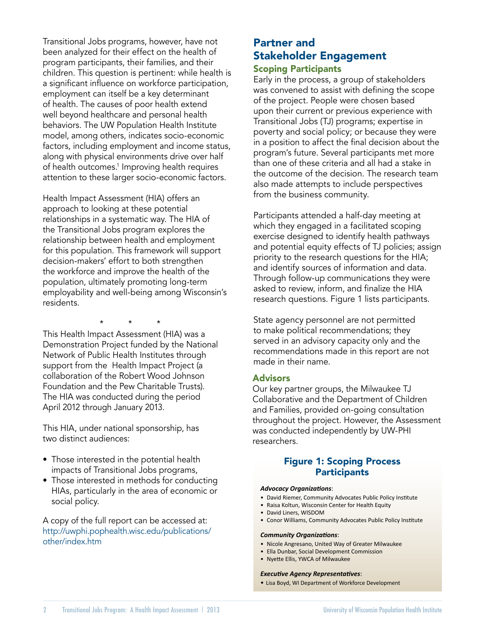Transitional Jobs programs, however, have not been analyzed for their effect on the health of program participants, their families, and their children. This question is pertinent: while health is a significant influence on workforce participation, employment can itself be a key determinant of health. The causes of poor health extend well beyond healthcare and personal health behaviors. The UW Population Health Institute model, among others, indicates socio-economic factors, including employment and income status, along with physical environments drive over half of health outcomes.<sup>1</sup> Improving health requires attention to these larger socio-economic factors.

Health Impact Assessment (HIA) offers an approach to looking at these potential relationships in a systematic way. The HIA of the Transitional Jobs program explores the relationship between health and employment for this population. This framework will support decision-makers' effort to both strengthen the workforce and improve the health of the population, ultimately promoting long-term employability and well-being among Wisconsin's residents.

 \* \* \* This Health Impact Assessment (HIA) was a Demonstration Project funded by the National Network of Public Health Institutes through support from the Health Impact Project (a collaboration of the Robert Wood Johnson Foundation and the Pew Charitable Trusts). The HIA was conducted during the period April 2012 through January 2013.

This HIA, under national sponsorship, has two distinct audiences:

- Those interested in the potential health impacts of Transitional Jobs programs,
- Those interested in methods for conducting HIAs, particularly in the area of economic or social policy.

A copy of the full report can be accessed at: http://uwphi.pophealth.wisc.edu/publications/ other/index.htm

# Partner and Stakeholder Engagement Scoping Participants

Early in the process, a group of stakeholders was convened to assist with defining the scope of the project. People were chosen based upon their current or previous experience with Transitional Jobs (TJ) programs; expertise in poverty and social policy; or because they were in a position to affect the final decision about the program's future. Several participants met more than one of these criteria and all had a stake in the outcome of the decision. The research team also made attempts to include perspectives from the business community.

Participants attended a half-day meeting at which they engaged in a facilitated scoping exercise designed to identify health pathways and potential equity effects of TJ policies; assign priority to the research questions for the HIA; and identify sources of information and data. Through follow-up communications they were asked to review, inform, and finalize the HIA research questions. Figure 1 lists participants.

State agency personnel are not permitted to make political recommendations; they served in an advisory capacity only and the recommendations made in this report are not made in their name.

### Advisors

Our key partner groups, the Milwaukee TJ Collaborative and the Department of Children and Families, provided on-going consultation throughout the project. However, the Assessment was conducted independently by UW-PHI researchers.

# Figure 1: Scoping Process **Participants**

#### *Advocacy Organizations*:

- David Riemer, Community Advocates Public Policy Institute
- Raisa Koltun, Wisconsin Center for Health Equity
- David Liners, WISDOM
- Conor Williams, Community Advocates Public Policy Institute

#### *Community Organizations*:

- Nicole Angresano, United Way of Greater Milwaukee
- Ella Dunbar, Social Development Commission
- Nyette Ellis, YWCA of Milwaukee

#### *Executive Agency Representatives*:

• Lisa Boyd, WI Department of Workforce Development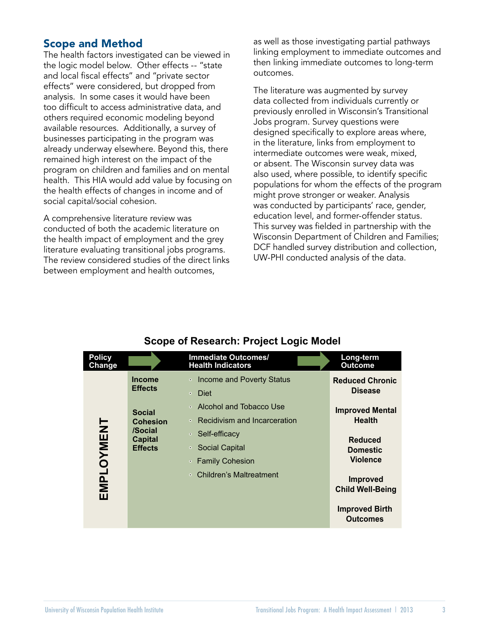# Scope and Method

The health factors investigated can be viewed in the logic model below. Other effects -- "state and local fiscal effects" and "private sector effects" were considered, but dropped from analysis. In some cases it would have been too difficult to access administrative data, and others required economic modeling beyond available resources. Additionally, a survey of businesses participating in the program was already underway elsewhere. Beyond this, there remained high interest on the impact of the program on children and families and on mental health. This HIA would add value by focusing on the health effects of changes in income and of social capital/social cohesion.

A comprehensive literature review was conducted of both the academic literature on the health impact of employment and the grey literature evaluating transitional jobs programs. The review considered studies of the direct links between employment and health outcomes,

as well as those investigating partial pathways linking employment to immediate outcomes and then linking immediate outcomes to long-term outcomes.

The literature was augmented by survey data collected from individuals currently or previously enrolled in Wisconsin's Transitional Jobs program. Survey questions were designed specifically to explore areas where, in the literature, links from employment to intermediate outcomes were weak, mixed, or absent. The Wisconsin survey data was also used, where possible, to identify specific populations for whom the effects of the program might prove stronger or weaker. Analysis was conducted by participants' race, gender, education level, and former-offender status. This survey was fielded in partnership with the Wisconsin Department of Children and Families; DCF handled survey distribution and collection, UW-PHI conducted analysis of the data.

| <b>Policy</b><br>Change |                                                                                 | <b>Immediate Outcomes/</b><br><b>Health Indicators</b>                                    | Long-term<br><b>Outcome</b>                          |
|-------------------------|---------------------------------------------------------------------------------|-------------------------------------------------------------------------------------------|------------------------------------------------------|
| EMPLOYMENT              | <b>Income</b><br><b>Effects</b>                                                 | • Income and Poverty Status<br><b>Diet</b><br>$\bullet$                                   | <b>Reduced Chronic</b><br><b>Disease</b>             |
|                         | <b>Social</b><br><b>Cohesion</b><br>/Social<br><b>Capital</b><br><b>Effects</b> | • Alcohol and Tobacco Use<br>• Recidivism and Incarceration                               | <b>Improved Mental</b><br><b>Health</b>              |
|                         |                                                                                 | Self-efficacy<br>$\bullet$ .<br><b>Social Capital</b><br>$\bullet$ .<br>• Family Cohesion | <b>Reduced</b><br><b>Domestic</b><br><b>Violence</b> |
|                         |                                                                                 | • Children's Maltreatment                                                                 | <b>Improved</b><br><b>Child Well-Being</b>           |
|                         |                                                                                 |                                                                                           | <b>Improved Birth</b><br><b>Outcomes</b>             |

# **Scope of Research: Project Logic Model**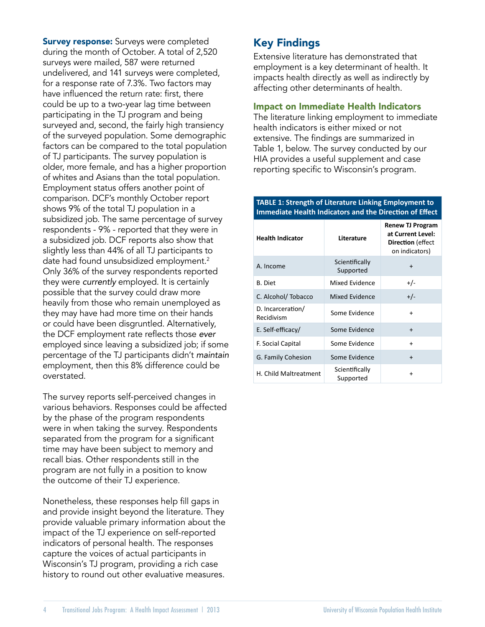**Survey response:** Surveys were completed during the month of October. A total of 2,520 surveys were mailed, 587 were returned undelivered, and 141 surveys were completed, for a response rate of 7.3%. Two factors may have influenced the return rate: first, there could be up to a two-year lag time between participating in the TJ program and being surveyed and, second, the fairly high transiency of the surveyed population. Some demographic factors can be compared to the total population of TJ participants. The survey population is older, more female, and has a higher proportion of whites and Asians than the total population. Employment status offers another point of comparison. DCF's monthly October report shows 9% of the total TJ population in a subsidized job. The same percentage of survey respondents - 9% - reported that they were in a subsidized job. DCF reports also show that slightly less than 44% of all TJ participants to date had found unsubsidized employment.<sup>2</sup> Only 36% of the survey respondents reported they were *currently* employed. It is certainly possible that the survey could draw more heavily from those who remain unemployed as they may have had more time on their hands or could have been disgruntled. Alternatively, the DCF employment rate reflects those *ever* employed since leaving a subsidized job; if some percentage of the TJ participants didn't *maintain* employment, then this 8% difference could be overstated.

The survey reports self-perceived changes in various behaviors. Responses could be affected by the phase of the program respondents were in when taking the survey. Respondents separated from the program for a significant time may have been subject to memory and recall bias. Other respondents still in the program are not fully in a position to know the outcome of their TJ experience.

Nonetheless, these responses help fill gaps in and provide insight beyond the literature. They provide valuable primary information about the impact of the TJ experience on self-reported indicators of personal health. The responses capture the voices of actual participants in Wisconsin's TJ program, providing a rich case history to round out other evaluative measures.

# Key Findings

Extensive literature has demonstrated that employment is a key determinant of health. It impacts health directly as well as indirectly by affecting other determinants of health.

### Impact on Immediate Health Indicators

The literature linking employment to immediate health indicators is either mixed or not extensive. The findings are summarized in Table 1, below. The survey conducted by our HIA provides a useful supplement and case reporting specific to Wisconsin's program.

#### **TABLE 1: Strength of Literature Linking Employment to Immediate Health Indicators and the Direction of Effect**

| <b>Health Indicator</b>         | Literature                  | <b>Renew TJ Program</b><br>at Current Level:<br><b>Direction</b> (effect<br>on indicators) |
|---------------------------------|-----------------------------|--------------------------------------------------------------------------------------------|
| A. Income                       | Scientifically<br>Supported | $\ddot{}$                                                                                  |
| <b>B.</b> Diet                  | Mixed Evidence              | $+/-$                                                                                      |
| C. Alcohol/Tobacco              | Mixed Evidence              | $+/-$                                                                                      |
| D. Incarceration/<br>Recidivism | Some Evidence               | $\ddot{}$                                                                                  |
| E. Self-efficacy/               | Some Evidence               | $\ddot{}$                                                                                  |
| F. Social Capital               | Some Evidence               | $\ddot{}$                                                                                  |
| G. Family Cohesion              | Some Evidence               | $\ddot{}$                                                                                  |
| H. Child Maltreatment           | Scientifically<br>Supported | +                                                                                          |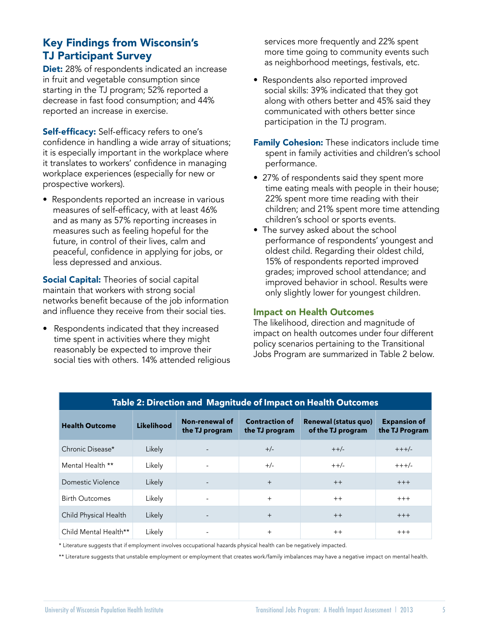# Key Findings from Wisconsin's TJ Participant Survey

**Diet:** 28% of respondents indicated an increase in fruit and vegetable consumption since starting in the TJ program; 52% reported a decrease in fast food consumption; and 44% reported an increase in exercise.

**Self-efficacy:** Self-efficacy refers to one's confidence in handling a wide array of situations; it is especially important in the workplace where it translates to workers' confidence in managing workplace experiences (especially for new or prospective workers).

• Respondents reported an increase in various measures of self-efficacy, with at least 46% and as many as 57% reporting increases in measures such as feeling hopeful for the future, in control of their lives, calm and peaceful, confidence in applying for jobs, or less depressed and anxious.

**Social Capital:** Theories of social capital maintain that workers with strong social networks benefit because of the job information and influence they receive from their social ties.

• Respondents indicated that they increased time spent in activities where they might reasonably be expected to improve their social ties with others. 14% attended religious services more frequently and 22% spent more time going to community events such as neighborhood meetings, festivals, etc.

- Respondents also reported improved social skills: 39% indicated that they got along with others better and 45% said they communicated with others better since participation in the TJ program.
- Family Cohesion: These indicators include time spent in family activities and children's school performance.
- 27% of respondents said they spent more time eating meals with people in their house; 22% spent more time reading with their children; and 21% spent more time attending children's school or sports events.
- The survey asked about the school performance of respondents' youngest and oldest child. Regarding their oldest child, 15% of respondents reported improved grades; improved school attendance; and improved behavior in school. Results were only slightly lower for youngest children.

### Impact on Health Outcomes

The likelihood, direction and magnitude of impact on health outcomes under four different policy scenarios pertaining to the Transitional Jobs Program are summarized in Table 2 below.

| Table 2: Direction and Magnitude of Impact on Health Outcomes |            |                                  |                                         |                                                  |                                       |  |  |  |
|---------------------------------------------------------------|------------|----------------------------------|-----------------------------------------|--------------------------------------------------|---------------------------------------|--|--|--|
| <b>Health Outcome</b>                                         | Likelihood | Non-renewal of<br>the TJ program | <b>Contraction of</b><br>the TJ program | <b>Renewal (status quo)</b><br>of the TJ program | <b>Expansion of</b><br>the TJ Program |  |  |  |
| Chronic Disease*                                              | Likely     |                                  | $+/-$                                   | $++/-$                                           | $+++/-$                               |  |  |  |
| Mental Health **                                              | Likely     |                                  | $+/-$                                   | $++/-$                                           | $+++/-$                               |  |  |  |
| Domestic Violence                                             | Likely     |                                  | $+$                                     | $++$                                             | $+++$                                 |  |  |  |
| <b>Birth Outcomes</b>                                         | Likely     |                                  | $^{+}$                                  | $++$                                             | $+++$                                 |  |  |  |
| Child Physical Health                                         | Likely     |                                  | $^{+}$                                  | $++$                                             | $+++$                                 |  |  |  |
| Child Mental Health**                                         | Likely     |                                  | $^{+}$                                  | $++$                                             | $+++$                                 |  |  |  |

\* Literature suggests that if employment involves occupational hazards physical health can be negatively impacted.

\*\* Literature suggests that unstable employment or employment that creates work/family imbalances may have a negative impact on mental health.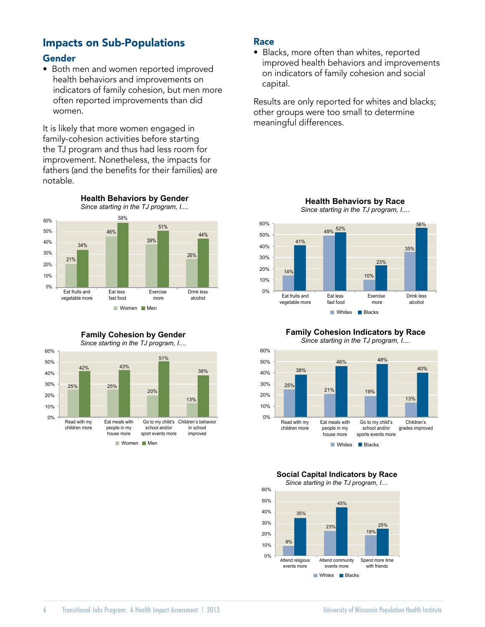# Impacts on Sub-Populations

# Gender

• Both men and women reported improved health behaviors and improvements on indicators of family cohesion, but men more often reported improvements than did women.

It is likely that more women engaged in family-cohesion activities before starting the TJ program and thus had less room for improvement. Nonetheless, the impacts for fathers (and the benefits for their families) are notable.



**Family Cohesion by Gender**





#### Race

• Blacks, more often than whites, reported improved health behaviors and improvements on indicators of family cohesion and social capital.

Results are only reported for whites and blacks; other groups were too small to determine meaningful differences.



#### **Family Cohesion Indicators by Race** *Since starting in the TJ program, I....*



## **Social Capital Indicators by Race**

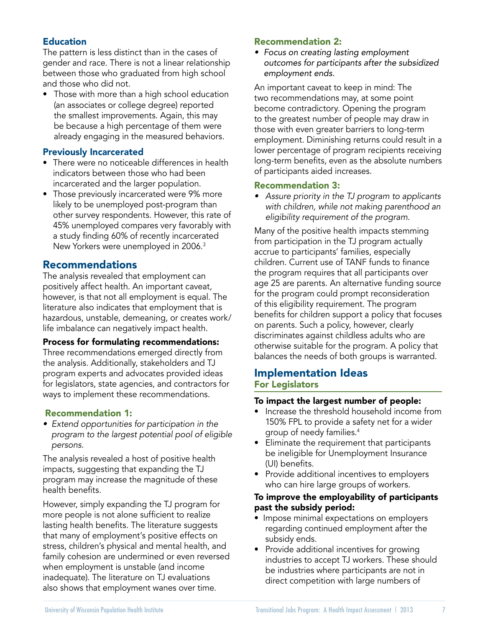# Education

The pattern is less distinct than in the cases of gender and race. There is not a linear relationship between those who graduated from high school and those who did not.

• Those with more than a high school education (an associates or college degree) reported the smallest improvements. Again, this may be because a high percentage of them were already engaging in the measured behaviors.

# Previously Incarcerated

- There were no noticeable differences in health indicators between those who had been incarcerated and the larger population.
- Those previously incarcerated were 9% more likely to be unemployed post-program than other survey respondents. However, this rate of 45% unemployed compares very favorably with a study finding 60% of recently incarcerated New Yorkers were unemployed in 2006.3

# Recommendations

The analysis revealed that employment can positively affect health. An important caveat, however, is that not all employment is equal. The literature also indicates that employment that is hazardous, unstable, demeaning, or creates work/ life imbalance can negatively impact health.

### Process for formulating recommendations:

Three recommendations emerged directly from the analysis. Additionally, stakeholders and TJ program experts and advocates provided ideas for legislators, state agencies, and contractors for ways to implement these recommendations.

# Recommendation 1:

*• Extend opportunities for participation in the program to the largest potential pool of eligible persons.*

The analysis revealed a host of positive health impacts, suggesting that expanding the TJ program may increase the magnitude of these health benefits.

However, simply expanding the TJ program for more people is not alone sufficient to realize lasting health benefits. The literature suggests that many of employment's positive effects on stress, children's physical and mental health, and family cohesion are undermined or even reversed when employment is unstable (and income inadequate). The literature on TJ evaluations also shows that employment wanes over time.

### Recommendation 2:

*• Focus on creating lasting employment outcomes for participants after the subsidized employment ends.*

An important caveat to keep in mind: The two recommendations may, at some point become contradictory. Opening the program to the greatest number of people may draw in those with even greater barriers to long-term employment. Diminishing returns could result in a lower percentage of program recipients receiving long-term benefits, even as the absolute numbers of participants aided increases.

### Recommendation 3:

*• Assure priority in the TJ program to applicants with children, while not making parenthood an eligibility requirement of the program.*

Many of the positive health impacts stemming from participation in the TJ program actually accrue to participants' families, especially children. Current use of TANF funds to finance the program requires that all participants over age 25 are parents. An alternative funding source for the program could prompt reconsideration of this eligibility requirement. The program benefits for children support a policy that focuses on parents. Such a policy, however, clearly discriminates against childless adults who are otherwise suitable for the program. A policy that balances the needs of both groups is warranted.

# Implementation Ideas For Legislators

### To impact the largest number of people:

- Increase the threshold household income from 150% FPL to provide a safety net for a wider group of needy families.4
- Eliminate the requirement that participants be ineligible for Unemployment Insurance (UI) benefits.
- Provide additional incentives to employers who can hire large groups of workers.

### To improve the employability of participants past the subsidy period:

- Impose minimal expectations on employers regarding continued employment after the subsidy ends.
- Provide additional incentives for growing industries to accept TJ workers. These should be industries where participants are not in direct competition with large numbers of